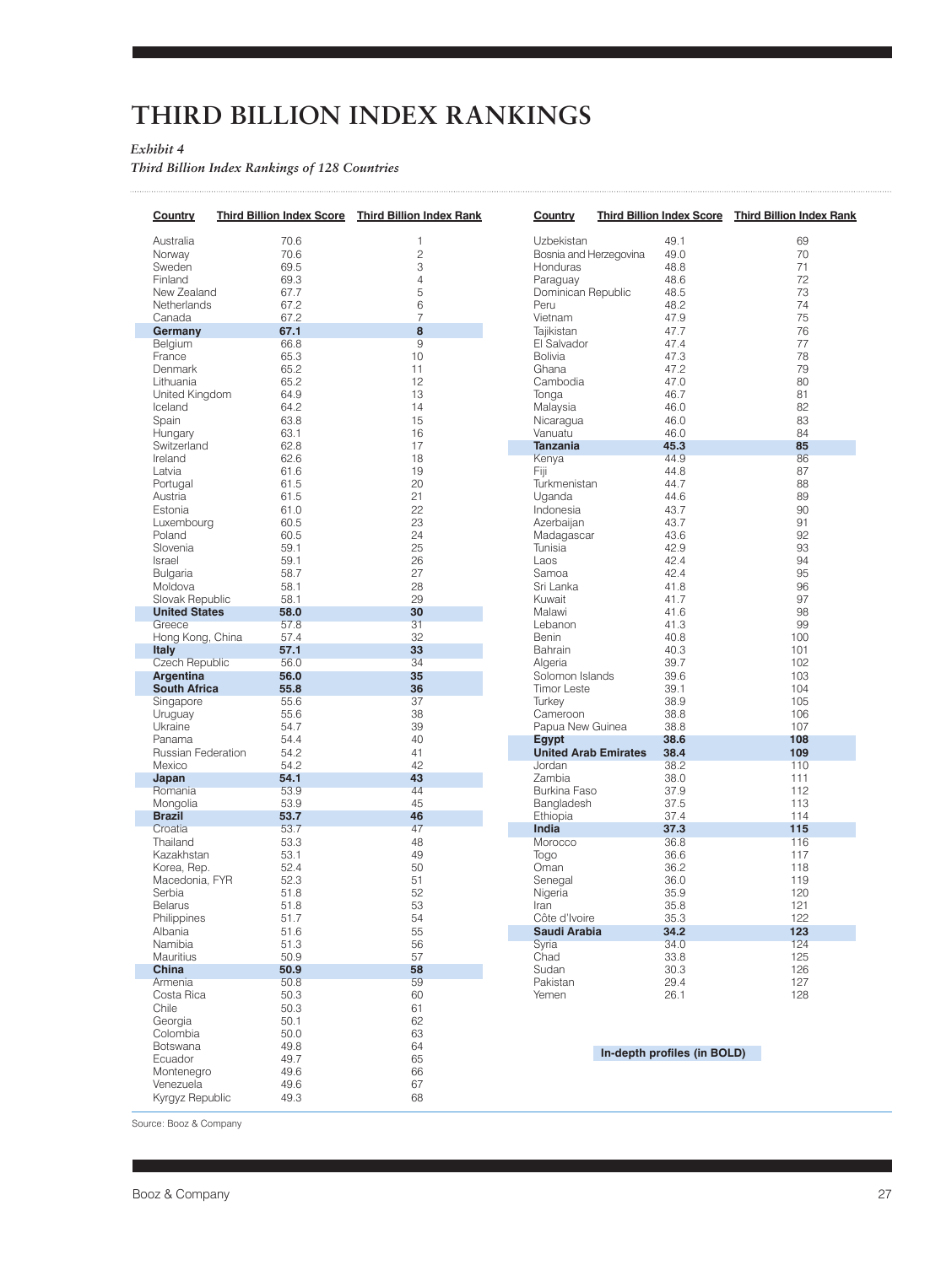### **THIRD BILLION INDEX RANKINGS**

#### *Exhibit 4*

*Third Billion Index Rankings of 128 Countries* 

| Country                                 | <b>Third Billion Index Score</b> | <b>Third Billion Index Rank</b> |  |  |  |
|-----------------------------------------|----------------------------------|---------------------------------|--|--|--|
| Australia                               | 70.6                             | 1                               |  |  |  |
| Norway                                  | 70.6                             | $\overline{c}$                  |  |  |  |
| Sweden                                  | 69.5                             | 3                               |  |  |  |
| Finland                                 | 69.3                             | 4                               |  |  |  |
| New Zealand                             | 67.7                             | 5                               |  |  |  |
| Netherlands                             | 67.2                             | 6                               |  |  |  |
| Canada                                  | 67.2                             | $\overline{7}$                  |  |  |  |
| Germany                                 | 67.1                             | 8                               |  |  |  |
| Belgium                                 | 66.8                             | 9                               |  |  |  |
| France                                  | 65.3                             | 10                              |  |  |  |
| Denmark                                 | 65.2                             | 11                              |  |  |  |
| Lithuania                               | 65.2                             | 12                              |  |  |  |
| United Kingdom                          | 64.9                             | 13                              |  |  |  |
| Iceland<br>Spain                        | 64.2<br>63.8                     | 14<br>15                        |  |  |  |
|                                         | 63.1                             | 16                              |  |  |  |
| Hungary<br>Switzerland                  | 62.8                             | 17                              |  |  |  |
| Ireland                                 | 62.6                             | 18                              |  |  |  |
| Latvia                                  | 61.6                             | 19                              |  |  |  |
| Portugal                                | 61.5                             | 20                              |  |  |  |
| Austria                                 | 61.5                             | 21                              |  |  |  |
| Estonia                                 | 61.0                             | 22                              |  |  |  |
| Luxembourg                              | 60.5                             | 23                              |  |  |  |
| Poland                                  | 60.5                             | 24                              |  |  |  |
| Slovenia                                | 59.1                             | 25                              |  |  |  |
| Israel                                  | 59.1                             | 26                              |  |  |  |
| <b>Bulgaria</b>                         | 58.7                             | 27                              |  |  |  |
| Moldova                                 | 58.1                             | 28                              |  |  |  |
| Slovak Republic<br><b>United States</b> | 58.1                             | 29                              |  |  |  |
| Greece                                  | 58.0<br>57.8                     | 30<br>31                        |  |  |  |
| Hong Kong, China                        | 57.4                             | 32                              |  |  |  |
| <b>Italy</b>                            | 57.1                             | 33                              |  |  |  |
| <b>Czech Republic</b>                   | 56.0                             | 34                              |  |  |  |
| <b>Argentina</b>                        | 56.0                             | 35                              |  |  |  |
| <b>South Africa</b>                     | 55.8                             | 36                              |  |  |  |
| Singapore                               | 55.6                             | 37                              |  |  |  |
| Uruguay                                 | 55.6                             | 38                              |  |  |  |
| Ukraine                                 | 54.7                             | 39                              |  |  |  |
| Panama<br>Russian Federation            | 54.4<br>54.2                     | 40<br>41                        |  |  |  |
| Mexico                                  | 54.2                             | 42                              |  |  |  |
| Japan                                   | 54.1                             | 43                              |  |  |  |
| Romania                                 | 53.9                             | 44                              |  |  |  |
| Mongolia                                | 53.9                             | 45                              |  |  |  |
| <b>Brazil</b>                           | 53.7                             | 46                              |  |  |  |
| Croatia                                 | 53.7                             | 47                              |  |  |  |
| Thailand                                | 53.3                             | 48                              |  |  |  |
| Kazakhstan                              | 53.1                             | 49                              |  |  |  |
| Korea, Rep.                             | 52.4                             | 50                              |  |  |  |
| Macedonia, FYR                          | 52.3                             | 51                              |  |  |  |
| Serbia                                  | 51.8                             | 52                              |  |  |  |
| Belarus                                 | 51.8                             | 53                              |  |  |  |
| Philippines<br>Albania                  | 51.7                             | 54<br>55                        |  |  |  |
| Namibia                                 | 51.6<br>51.3                     | 56                              |  |  |  |
| Mauritius                               | 50.9                             | 57                              |  |  |  |
| China                                   | 50.9                             | 58                              |  |  |  |
| Armenia                                 | 50.8                             | 59                              |  |  |  |
| Costa Rica                              | 50.3                             | 60                              |  |  |  |
| Chile                                   | 50.3                             | 61                              |  |  |  |
| Georgia                                 | 50.1                             | 62                              |  |  |  |
| Colombia                                | 50.0                             | 63                              |  |  |  |
| <b>Botswana</b>                         | 49.8                             | 64                              |  |  |  |
| Ecuador                                 | 49.7                             | 65                              |  |  |  |
| Montenegro                              | 49.6                             | 66                              |  |  |  |
| Venezuela                               | 49.6                             | 67                              |  |  |  |
| Kyrgyz Republic                         | 49.3                             | 68                              |  |  |  |

| Country                              | <b>Third Billion Index Score</b> | <b>Third Billion Index Rank</b> |
|--------------------------------------|----------------------------------|---------------------------------|
| Uzbekistan                           | 49.1                             | 69                              |
| Bosnia and Herzegovina               | 49.0                             | 70                              |
| Honduras                             | 48.8                             | 71                              |
|                                      | 48.6                             | 72                              |
| Paraguay                             | 48.5                             | 73                              |
| Dominican Republic                   |                                  |                                 |
| Peru                                 | 48.2                             | 74                              |
| Vietnam                              | 47.9                             | 75                              |
| Tajikistan                           | 47.7                             | 76                              |
| El Salvador                          | 47.4                             | 77                              |
| Bolivia                              | 47.3                             | 78                              |
| Ghana                                | 47.2                             | 79                              |
| Cambodia                             | 47.0                             | 80                              |
| Tonga                                | 46.7                             | 81                              |
| Malaysia                             | 46.0                             | 82                              |
| Nicaragua                            | 46.0                             | 83                              |
| Vanuatu                              | 46.0                             | 84                              |
| Tanzania                             | 45.3                             | 85                              |
| Kenya                                | 44.9                             | 86                              |
| Fiji                                 | 44.8                             | 87                              |
| Turkmenistan                         | 44.7                             | 88                              |
| Uganda                               | 44.6                             | 89                              |
| Indonesia                            | 43.7                             | 90                              |
| Azerbaijan                           | 43.7                             | 91                              |
| Madagascar                           | 43.6                             | 92                              |
| Tunisia                              | 42.9                             | 93                              |
| Laos                                 | 42.4                             | 94                              |
| Samoa                                | 42.4                             | 95                              |
| Sri Lanka                            | 41.8                             | 96                              |
| Kuwait                               | 41.7                             | 97                              |
| Malawi                               | 41.6                             | 98                              |
| Lebanon                              | 41.3                             | 99                              |
| Benin                                | 40.8                             | 100                             |
| Bahrain                              | 40.3                             | 101                             |
| Algeria                              | 39.7                             | 102                             |
| Solomon Islands                      | 39.6                             | 103                             |
| <b>Timor Leste</b>                   | 39.1                             | 104                             |
|                                      | 38.9                             | 105                             |
| Turkey                               |                                  |                                 |
| Cameroon                             | 38.8                             | 106                             |
| Papua New Guinea                     | 38.8                             | 107<br>108                      |
| Egypt<br><b>United Arab Emirates</b> | 38.6<br>38.4                     | 109                             |
| Jordan                               | 38.2                             | 110                             |
| Zambia                               | 38.0                             | 111                             |
| Burkina Faso                         | 37.9                             | 112                             |
| Bangladesh                           | 37.5                             | 113                             |
| Ethiopia                             | 37.4                             | 114                             |
| India                                | 37.3                             | 115                             |
| Morocco                              | 36.8                             | 116                             |
| Togo                                 | 36.6                             | 117                             |
| Oman                                 | 36.2                             | 118                             |
| Senegal                              | 36.0                             | 119                             |
| Nigeria                              | 35.9                             | 120                             |
| Iran                                 | 35.8                             | 121                             |
| Côte d'Ivoire                        | 35.3                             | 122                             |
| Saudi Arabia                         | 34.2                             | 123                             |
| Syria                                | 34.0                             | 124                             |
| Chad                                 | 33.8                             | 125                             |
| Sudan                                | 30.3                             | 126                             |
| Pakistan                             | 29.4                             | 127                             |
| Yemen                                | 26.1                             | 128                             |

#### **In-depth profiles (in BOLD)**

Source: Booz & Company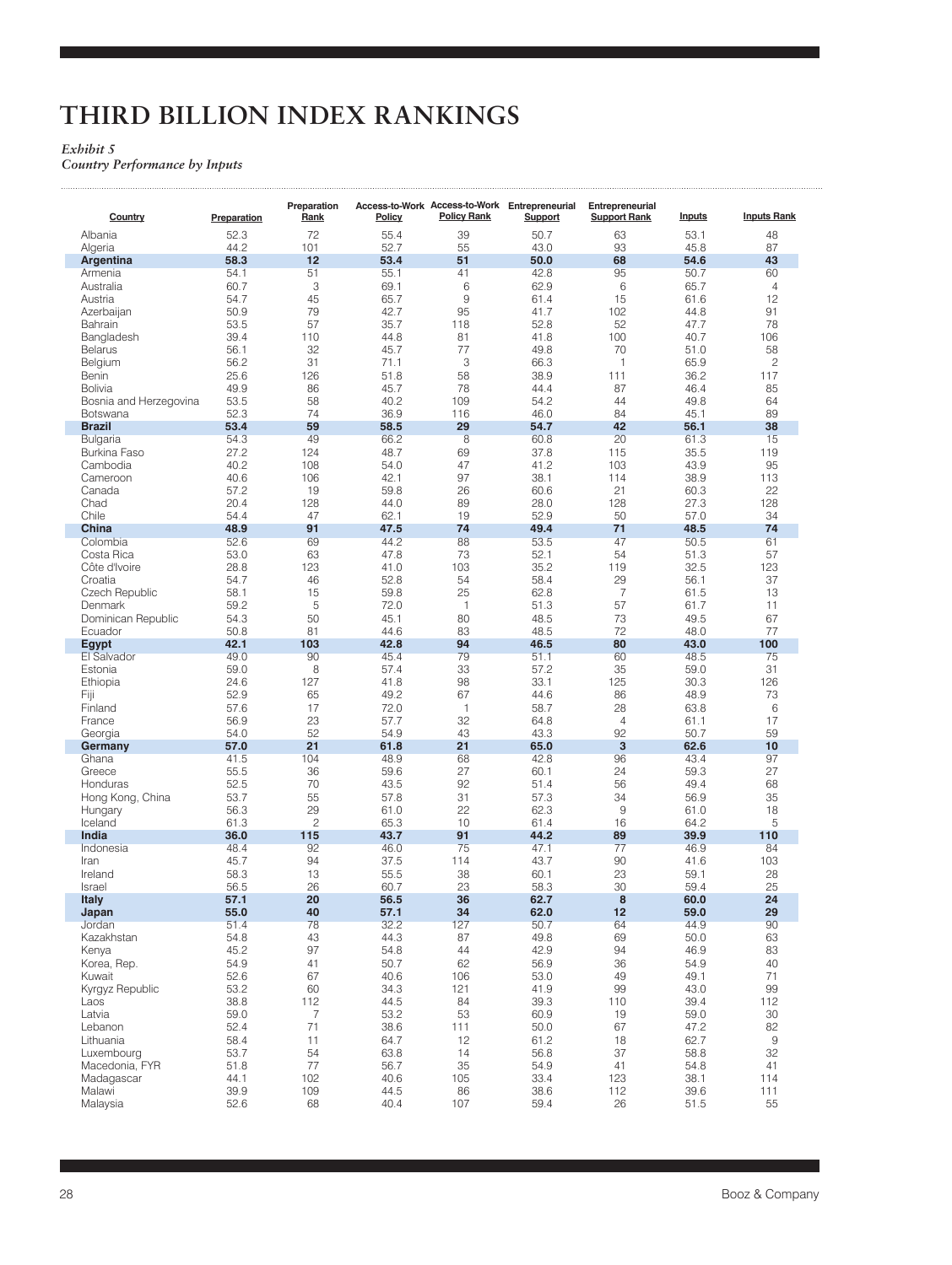# **THIRD BILLION INDEX RANKINGS**

### *Exhibit 5*

للتنبيب

*Country Performance by Inputs*

| Country                                  | Preparation  | Preparation<br>Rank | Policy       | <b>Policy Rank</b> | Access-to-Work Access-to-Work Entrepreneurial<br>Support | Entrepreneurial<br><b>Support Rank</b> | <b>Inputs</b> | <b>Inputs Rank</b> |
|------------------------------------------|--------------|---------------------|--------------|--------------------|----------------------------------------------------------|----------------------------------------|---------------|--------------------|
| Albania                                  | 52.3         | 72                  | 55.4         | 39                 | 50.7                                                     | 63                                     | 53.1          | 48                 |
| Algeria                                  | 44.2         | 101                 | 52.7         | 55                 | 43.0                                                     | 93                                     | 45.8          | 87                 |
| Argentina                                | 58.3         | 12                  | 53.4         | 51                 | 50.0                                                     | 68                                     | 54.6          | 43                 |
| Armenia                                  | 54.1         | 51                  | 55.1         | 41                 | 42.8                                                     | 95                                     | 50.7          | 60                 |
| Australia                                | 60.7         | 3                   | 69.1         | 6                  | 62.9                                                     | 6                                      | 65.7          | 4                  |
| Austria                                  | 54.7         | 45                  | 65.7         | 9                  | 61.4                                                     | 15                                     | 61.6          | 12                 |
| Azerbaijan                               | 50.9         | 79                  | 42.7         | 95                 | 41.7                                                     | 102                                    | 44.8          | 91                 |
| Bahrain                                  | 53.5         | 57                  | 35.7         | 118                | 52.8                                                     | 52                                     | 47.7          | 78                 |
| Bangladesh                               | 39.4         | 110                 | 44.8         | 81                 | 41.8                                                     | 100                                    | 40.7          | 106                |
| Belarus                                  | 56.1         | 32                  | 45.7         | 77                 | 49.8                                                     | 70                                     | 51.0          | 58                 |
| Belgium                                  | 56.2         | 31                  | 71.1         | 3                  | 66.3                                                     | $\mathbf{1}$                           | 65.9          | 2                  |
| Benin                                    | 25.6         | 126<br>86           | 51.8         | 58<br>78           | 38.9                                                     | 111<br>87                              | 36.2          | 117                |
| <b>Bolivia</b><br>Bosnia and Herzegovina | 49.9<br>53.5 | 58                  | 45.7<br>40.2 | 109                | 44.4<br>54.2                                             | 44                                     | 46.4<br>49.8  | 85<br>64           |
| Botswana                                 | 52.3         | 74                  | 36.9         | 116                | 46.0                                                     | 84                                     | 45.1          | 89                 |
| <b>Brazil</b>                            | 53.4         | 59                  | 58.5         | 29                 | 54.7                                                     | 42                                     | 56.1          | 38                 |
| Bulgaria                                 | 54.3         | 49                  | 66.2         | 8                  | 60.8                                                     | 20                                     | 61.3          | 15                 |
| <b>Burkina Faso</b>                      | 27.2         | 124                 | 48.7         | 69                 | 37.8                                                     | 115                                    | 35.5          | 119                |
| Cambodia                                 | 40.2         | 108                 | 54.0         | 47                 | 41.2                                                     | 103                                    | 43.9          | 95                 |
| Cameroon                                 | 40.6         | 106                 | 42.1         | 97                 | 38.1                                                     | 114                                    | 38.9          | 113                |
| Canada                                   | 57.2         | 19                  | 59.8         | 26                 | 60.6                                                     | 21                                     | 60.3          | 22                 |
| Chad                                     | 20.4         | 128                 | 44.0         | 89                 | 28.0                                                     | 128                                    | 27.3          | 128                |
| Chile                                    | 54.4         | 47                  | 62.1         | 19                 | 52.9                                                     | 50                                     | 57.0          | 34                 |
| China                                    | 48.9         | 91                  | 47.5         | 74                 | 49.4                                                     | 71                                     | 48.5          | 74                 |
| Colombia                                 | 52.6         | 69                  | 44.2         | 88                 | 53.5                                                     | 47                                     | 50.5          | 61                 |
| Costa Rica                               | 53.0         | 63                  | 47.8         | 73                 | 52.1                                                     | 54                                     | 51.3          | 57                 |
| Côte d'Ivoire                            | 28.8         | 123                 | 41.0         | 103                | 35.2                                                     | 119                                    | 32.5          | 123                |
| Croatia                                  | 54.7         | 46                  | 52.8         | 54                 | 58.4                                                     | 29                                     | 56.1          | 37                 |
| Czech Republic                           | 58.1         | 15                  | 59.8         | 25                 | 62.8                                                     | $\overline{7}$                         | 61.5          | 13                 |
| Denmark                                  | 59.2         | 5                   | 72.0         | $\mathbf{1}$       | 51.3                                                     | 57                                     | 61.7          | 11                 |
| Dominican Republic                       | 54.3         | 50                  | 45.1         | 80                 | 48.5                                                     | 73                                     | 49.5          | 67                 |
| Ecuador                                  | 50.8         | 81                  | 44.6         | 83                 | 48.5                                                     | 72                                     | 48.0          | 77                 |
| Egypt                                    | 42.1         | 103                 | 42.8         | 94                 | 46.5                                                     | 80                                     | 43.0          | 100                |
| El Salvador                              | 49.0         | 90                  | 45.4         | 79                 | 51.1                                                     | 60                                     | 48.5          | 75                 |
| Estonia                                  | 59.0         | 8                   | 57.4         | 33                 | 57.2                                                     | 35                                     | 59.0          | 31                 |
| Ethiopia                                 | 24.6         | 127                 | 41.8         | 98                 | 33.1                                                     | 125                                    | 30.3          | 126                |
| Fiji                                     | 52.9         | 65                  | 49.2         | 67                 | 44.6                                                     | 86                                     | 48.9          | 73                 |
| Finland                                  | 57.6         | 17                  | 72.0         | 1                  | 58.7                                                     | 28                                     | 63.8          | 6                  |
| France                                   | 56.9<br>54.0 | 23<br>52            | 57.7<br>54.9 | 32<br>43           | 64.8<br>43.3                                             | 4<br>92                                | 61.1<br>50.7  | 17<br>59           |
| Georgia<br>Germany                       | 57.0         | 21                  | 61.8         | 21                 | 65.0                                                     | $\mathbf{3}$                           | 62.6          | 10                 |
| Ghana                                    | 41.5         | 104                 | 48.9         | 68                 | 42.8                                                     | 96                                     | 43.4          | 97                 |
| Greece                                   | 55.5         | 36                  | 59.6         | 27                 | 60.1                                                     | 24                                     | 59.3          | 27                 |
| Honduras                                 | 52.5         | 70                  | 43.5         | 92                 | 51.4                                                     | 56                                     | 49.4          | 68                 |
| Hong Kong, China                         | 53.7         | 55                  | 57.8         | 31                 | 57.3                                                     | 34                                     | 56.9          | 35                 |
| Hungary                                  | 56.3         | 29                  | 61.0         | 22                 | 62.3                                                     | 9                                      | 61.0          | 18                 |
| Iceland                                  | 61.3         | $\overline{c}$      | 65.3         | 10                 | 61.4                                                     | 16                                     | 64.2          | 5                  |
| India                                    | 36.0         | 115                 | 43.7         | 91                 | 44.2                                                     | 89                                     | 39.9          | 110                |
| Indonesia                                | 48.4         | 92                  | 46.0         | 75                 | 47.1                                                     | 77                                     | 46.9          | 84                 |
| Iran                                     | 45.7         | 94                  | 37.5         | 114                | 43.7                                                     | 90                                     | 41.6          | 103                |
| Ireland                                  | 58.3         | 13                  | 55.5         | 38                 | 60.1                                                     | 23                                     | 59.1          | 28                 |
| Israel                                   | 56.5         | 26                  | 60.7         | 23                 | 58.3                                                     | 30                                     | 59.4          | 25                 |
| <b>Italy</b>                             | 57.1         | 20                  | 56.5         | 36                 | 62.7                                                     | 8                                      | 60.0          | 24                 |
| Japan                                    | 55.0         | 40                  | 57.1         | 34                 | 62.0                                                     | 12                                     | 59.0          | 29                 |
| Jordan                                   | 51.4         | 78                  | 32.2         | 127                | 50.7                                                     | 64                                     | 44.9          | 90                 |
| Kazakhstan                               | 54.8         | 43                  | 44.3         | 87                 | 49.8                                                     | 69                                     | 50.0          | 63                 |
| Kenya                                    | 45.2         | 97                  | 54.8         | 44                 | 42.9                                                     | 94                                     | 46.9          | 83                 |
| Korea, Rep.                              | 54.9         | 41                  | 50.7         | 62                 | 56.9                                                     | 36                                     | 54.9          | 40                 |
| Kuwait                                   | 52.6         | 67                  | 40.6         | 106                | 53.0                                                     | 49                                     | 49.1          | 71                 |
| Kyrgyz Republic                          | 53.2         | 60                  | 34.3         | 121                | 41.9                                                     | 99                                     | 43.0          | 99                 |
| Laos                                     | 38.8         | 112                 | 44.5         | 84                 | 39.3                                                     | 110                                    | 39.4          | 112                |
| Latvia                                   | 59.0         | $\overline{7}$      | 53.2         | 53                 | 60.9                                                     | 19                                     | 59.0          | 30                 |
| Lebanon                                  | 52.4         | 71                  | 38.6         | 111                | 50.0                                                     | 67                                     | 47.2          | 82                 |
| Lithuania                                | 58.4         | 11                  | 64.7         | 12                 | 61.2                                                     | 18                                     | 62.7          | 9                  |
| Luxembourg                               | 53.7         | 54                  | 63.8         | 14                 | 56.8                                                     | 37                                     | 58.8          | 32                 |
| Macedonia, FYR                           | 51.8         | 77                  | 56.7         | 35                 | 54.9<br>33.4                                             | 41                                     | 54.8          | 41                 |
| Madagascar<br>Malawi                     | 44.1<br>39.9 | 102<br>109          | 40.6<br>44.5 | 105<br>86          | 38.6                                                     | 123<br>112                             | 38.1<br>39.6  | 114<br>111         |
| Malaysia                                 | 52.6         | 68                  | 40.4         | 107                | 59.4                                                     | 26                                     | 51.5          | 55                 |
|                                          |              |                     |              |                    |                                                          |                                        |               |                    |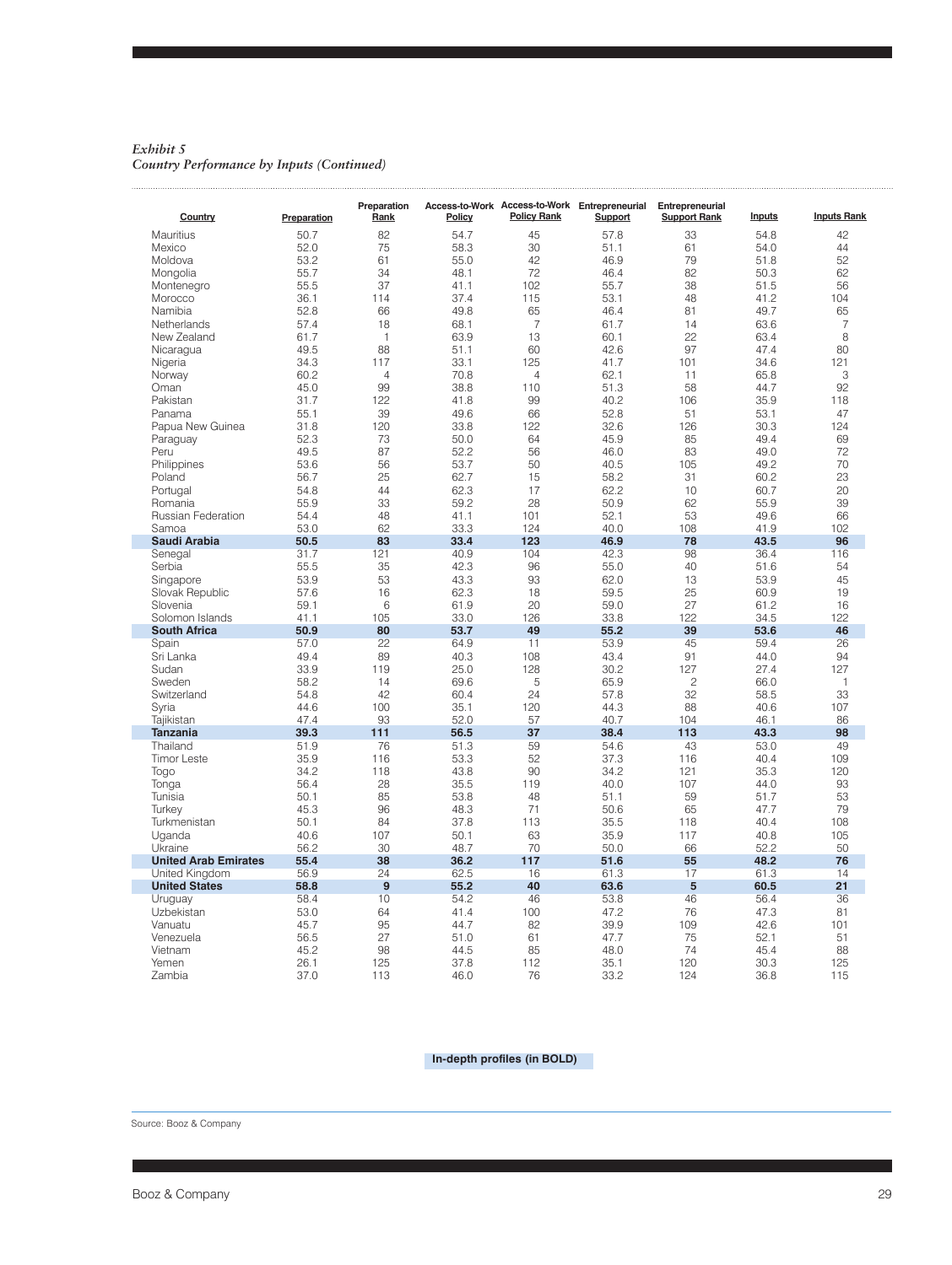*Exhibit 5 Country Performance by Inputs (Continued)*

| Country                     | Preparation | Preparation<br>Rank | Policy | <b>Policy Rank</b> | Access-to-Work Access-to-Work Entrepreneurial<br>Support | Entrepreneurial<br><b>Support Rank</b> | <b>Inputs</b> | <b>Inputs Rank</b> |
|-----------------------------|-------------|---------------------|--------|--------------------|----------------------------------------------------------|----------------------------------------|---------------|--------------------|
| Mauritius                   | 50.7        | 82                  | 54.7   | 45                 | 57.8                                                     | 33                                     | 54.8          | 42                 |
| Mexico                      | 52.0        | 75                  | 58.3   | 30                 | 51.1                                                     | 61                                     | 54.0          | 44                 |
| Moldova                     | 53.2        | 61                  | 55.0   | 42                 | 46.9                                                     | 79                                     | 51.8          | 52                 |
| Mongolia                    | 55.7        | 34                  | 48.1   | 72                 | 46.4                                                     | 82                                     | 50.3          | 62                 |
| Montenegro                  | 55.5        | 37                  | 41.1   | 102                | 55.7                                                     | 38                                     | 51.5          | 56                 |
| Morocco                     | 36.1        | 114                 | 37.4   | 115                | 53.1                                                     | 48                                     | 41.2          | 104                |
|                             |             |                     |        |                    |                                                          |                                        |               |                    |
| Namibia                     | 52.8        | 66                  | 49.8   | 65                 | 46.4                                                     | 81                                     | 49.7          | 65                 |
| Netherlands                 | 57.4        | 18                  | 68.1   | $\overline{7}$     | 61.7                                                     | 14                                     | 63.6          | $\overline{7}$     |
| New Zealand                 | 61.7        | $\mathbf{1}$        | 63.9   | 13                 | 60.1                                                     | 22                                     | 63.4          | 8                  |
| Nicaragua                   | 49.5        | 88                  | 51.1   | 60                 | 42.6                                                     | 97                                     | 47.4          | 80                 |
| Nigeria                     | 34.3        | 117                 | 33.1   | 125                | 41.7                                                     | 101                                    | 34.6          | 121                |
| Norway                      | 60.2        | $\overline{4}$      | 70.8   | $\overline{4}$     | 62.1                                                     | 11                                     | 65.8          | 3                  |
| Oman                        | 45.0        | 99                  | 38.8   | 110                | 51.3                                                     | 58                                     | 44.7          | 92                 |
| Pakistan                    | 31.7        | 122                 | 41.8   | 99                 | 40.2                                                     | 106                                    | 35.9          | 118                |
| Panama                      | 55.1        | 39                  | 49.6   | 66                 | 52.8                                                     | 51                                     | 53.1          | 47                 |
| Papua New Guinea            | 31.8        | 120                 | 33.8   | 122                | 32.6                                                     | 126                                    | 30.3          | 124                |
| Paraguay                    | 52.3        | 73                  | 50.0   | 64                 | 45.9                                                     | 85                                     | 49.4          | 69                 |
| Peru                        | 49.5        | 87                  | 52.2   | 56                 | 46.0                                                     | 83                                     | 49.0          | 72                 |
|                             | 53.6        | 56                  | 53.7   | 50                 | 40.5                                                     | 105                                    | 49.2          | 70                 |
| Philippines                 |             |                     |        |                    |                                                          |                                        |               |                    |
| Poland                      | 56.7        | 25                  | 62.7   | 15                 | 58.2                                                     | 31                                     | 60.2          | 23                 |
| Portugal                    | 54.8        | 44                  | 62.3   | 17                 | 62.2                                                     | 10                                     | 60.7          | 20                 |
| Romania                     | 55.9        | 33                  | 59.2   | 28                 | 50.9                                                     | 62                                     | 55.9          | 39                 |
| <b>Russian Federation</b>   | 54.4        | 48                  | 41.1   | 101                | 52.1                                                     | 53                                     | 49.6          | 66                 |
| Samoa                       | 53.0        | 62                  | 33.3   | 124                | 40.0                                                     | 108                                    | 41.9          | 102                |
| Saudi Arabia                | 50.5        | 83                  | 33.4   | 123                | 46.9                                                     | 78                                     | 43.5          | 96                 |
| Senegal                     | 31.7        | 121                 | 40.9   | 104                | 42.3                                                     | 98                                     | 36.4          | 116                |
| Serbia                      | 55.5        | 35                  | 42.3   | 96                 | 55.0                                                     | 40                                     | 51.6          | 54                 |
| Singapore                   | 53.9        | 53                  | 43.3   | 93                 | 62.0                                                     | 13                                     | 53.9          | 45                 |
| Slovak Republic             | 57.6        | 16                  | 62.3   | 18                 | 59.5                                                     | 25                                     | 60.9          | 19                 |
| Slovenia                    | 59.1        | 6                   | 61.9   | 20                 | 59.0                                                     | 27                                     | 61.2          | 16                 |
| Solomon Islands             | 41.1        | 105                 | 33.0   | 126                | 33.8                                                     | 122                                    | 34.5          | 122                |
| <b>South Africa</b>         | 50.9        | 80                  | 53.7   | 49                 | 55.2                                                     | 39                                     | 53.6          | 46                 |
| Spain                       | 57.0        | 22                  | 64.9   | 11                 | 53.9                                                     | 45                                     | 59.4          | 26                 |
| Sri Lanka                   | 49.4        | 89                  | 40.3   | 108                | 43.4                                                     | 91                                     | 44.0          | 94                 |
|                             |             |                     |        |                    |                                                          |                                        |               |                    |
| Sudan                       | 33.9        | 119                 | 25.0   | 128                | 30.2                                                     | 127                                    | 27.4          | 127                |
| Sweden                      | 58.2        | 14                  | 69.6   | 5                  | 65.9                                                     | $\overline{c}$                         | 66.0          | 1                  |
| Switzerland                 | 54.8        | 42                  | 60.4   | 24                 | 57.8                                                     | 32                                     | 58.5          | 33                 |
| Syria                       | 44.6        | 100                 | 35.1   | 120                | 44.3                                                     | 88                                     | 40.6          | 107                |
| Tajikistan                  | 47.4        | 93                  | 52.0   | 57                 | 40.7                                                     | 104                                    | 46.1          | 86                 |
| <b>Tanzania</b>             | 39.3        | 111                 | 56.5   | 37                 | 38.4                                                     | 113                                    | 43.3          | 98                 |
| Thailand                    | 51.9        | 76                  | 51.3   | 59                 | 54.6                                                     | 43                                     | 53.0          | 49                 |
| <b>Timor Leste</b>          | 35.9        | 116                 | 53.3   | 52                 | 37.3                                                     | 116                                    | 40.4          | 109                |
| Togo                        | 34.2        | 118                 | 43.8   | 90                 | 34.2                                                     | 121                                    | 35.3          | 120                |
| Tonga                       | 56.4        | 28                  | 35.5   | 119                | 40.0                                                     | 107                                    | 44.0          | 93                 |
| Tunisia                     | 50.1        | 85                  | 53.8   | 48                 | 51.1                                                     | 59                                     | 51.7          | 53                 |
| Turkey                      | 45.3        | 96                  | 48.3   | 71                 | 50.6                                                     | 65                                     | 47.7          | 79                 |
| Turkmenistan                | 50.1        | 84                  | 37.8   | 113                | 35.5                                                     | 118                                    | 40.4          | 108                |
| Uganda                      | 40.6        | 107                 | 50.1   | 63                 | 35.9                                                     | 117                                    | 40.8          | 105                |
|                             |             |                     |        |                    |                                                          |                                        |               |                    |
| Ukraine                     | 56.2        | 30                  | 48.7   | 70                 | 50.0                                                     | 66                                     | 52.2          | 50                 |
| <b>United Arab Emirates</b> | 55.4        | 38                  | 36.2   | 117                | 51.6                                                     | 55                                     | 48.2          | 76                 |
| United Kingdom              | 56.9        | 24                  | 62.5   | 16                 | 61.3                                                     | 17                                     | 61.3          | 14                 |
| <b>United States</b>        | 58.8        | 9                   | 55.2   | 40                 | 63.6                                                     | 5                                      | 60.5          | 21                 |
| Uruguay                     | 58.4        | 10                  | 54.2   | 46                 | 53.8                                                     | 46                                     | 56.4          | 36                 |
| Uzbekistan                  | 53.0        | 64                  | 41.4   | 100                | 47.2                                                     | 76                                     | 47.3          | 81                 |
| Vanuatu                     | 45.7        | 95                  | 44.7   | 82                 | 39.9                                                     | 109                                    | 42.6          | 101                |
| Venezuela                   | 56.5        | 27                  | 51.0   | 61                 | 47.7                                                     | 75                                     | 52.1          | 51                 |
| Vietnam                     | 45.2        | 98                  | 44.5   | 85                 | 48.0                                                     | 74                                     | 45.4          | 88                 |
| Yemen                       | 26.1        | 125                 | 37.8   | 112                | 35.1                                                     | 120                                    | 30.3          | 125                |
| Zambia                      | 37.0        | 113                 | 46.0   | 76                 | 33.2                                                     | 124                                    | 36.8          | 115                |

#### **In-depth profiles (in BOLD)**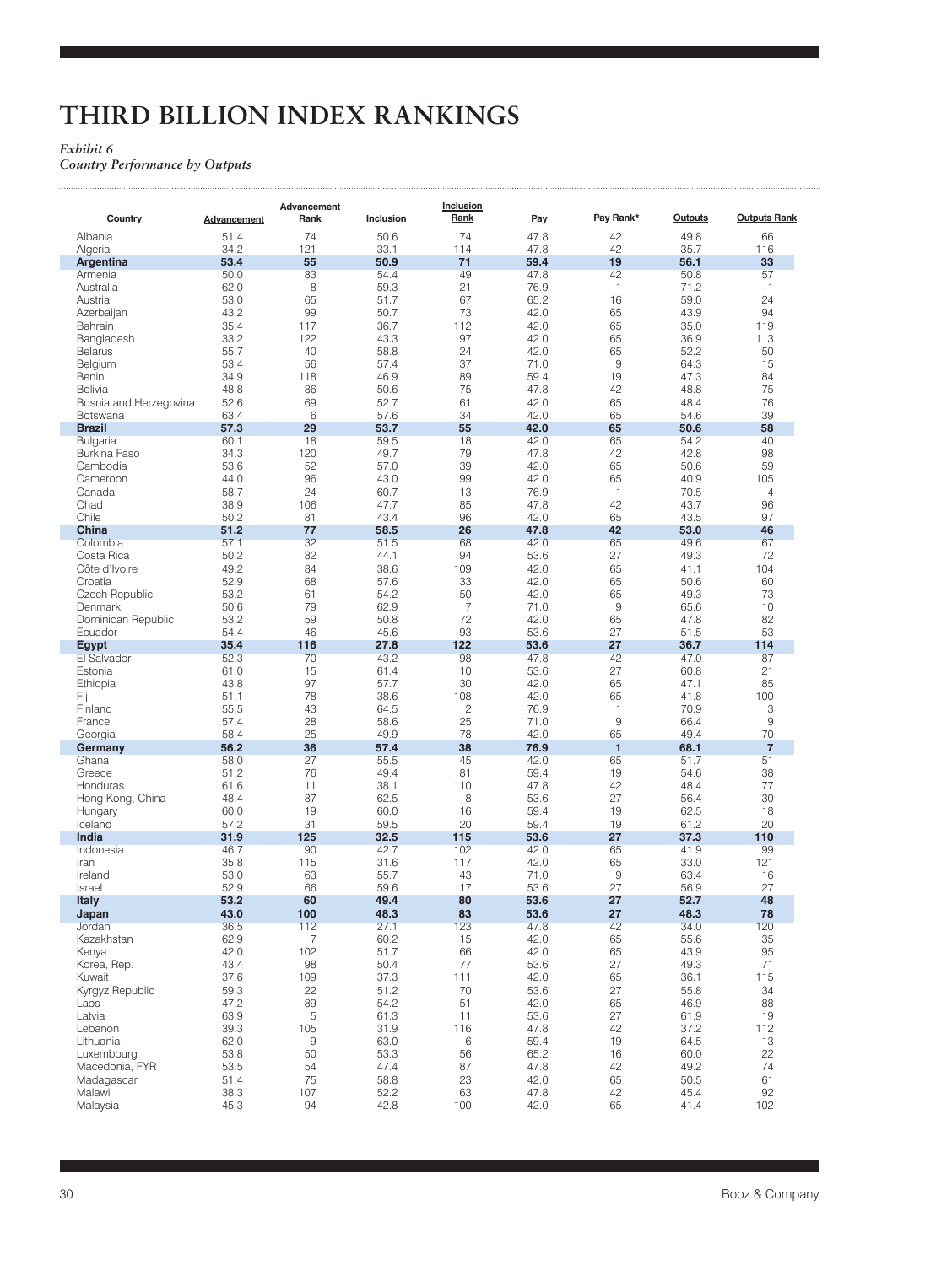# **THIRD BILLION INDEX RANKINGS**

### *Exhibit 6*

للتنبيذ

*Country Performance by Outputs* 

| Rank<br>Pay Rank*<br><b>Outputs</b><br>Inclusion<br>Pay<br>Country<br>Rank<br><b>Advancement</b><br>74<br>74<br>Albania<br>47.8<br>42<br>49.8<br>51.4<br>50.6<br>42<br>34.2<br>121<br>33.1<br>114<br>47.8<br>35.7<br>Algeria<br>71<br>53.4<br>55<br>50.9<br>59.4<br>19<br>56.1<br>Argentina<br>50.0<br>83<br>54.4<br>49<br>47.8<br>42<br>50.8<br>Armenia<br>8<br>21<br>$\mathbf{1}$<br>Australia<br>62.0<br>59.3<br>76.9<br>71.2<br>65<br>67<br>16<br>59.0<br>53.0<br>51.7<br>65.2<br>Austria<br>99<br>73<br>65<br>43.2<br>50.7<br>42.0<br>43.9<br>Azerbaijan<br>112<br>65<br>35.4<br>117<br>36.7<br>42.0<br>35.0<br>Bahrain | <b>Outputs Rank</b><br>66<br>116<br>33<br>57 |
|------------------------------------------------------------------------------------------------------------------------------------------------------------------------------------------------------------------------------------------------------------------------------------------------------------------------------------------------------------------------------------------------------------------------------------------------------------------------------------------------------------------------------------------------------------------------------------------------------------------------------|----------------------------------------------|
|                                                                                                                                                                                                                                                                                                                                                                                                                                                                                                                                                                                                                              |                                              |
|                                                                                                                                                                                                                                                                                                                                                                                                                                                                                                                                                                                                                              |                                              |
|                                                                                                                                                                                                                                                                                                                                                                                                                                                                                                                                                                                                                              |                                              |
|                                                                                                                                                                                                                                                                                                                                                                                                                                                                                                                                                                                                                              |                                              |
|                                                                                                                                                                                                                                                                                                                                                                                                                                                                                                                                                                                                                              |                                              |
|                                                                                                                                                                                                                                                                                                                                                                                                                                                                                                                                                                                                                              | $\mathbf{1}$                                 |
|                                                                                                                                                                                                                                                                                                                                                                                                                                                                                                                                                                                                                              | 24                                           |
|                                                                                                                                                                                                                                                                                                                                                                                                                                                                                                                                                                                                                              | 94                                           |
|                                                                                                                                                                                                                                                                                                                                                                                                                                                                                                                                                                                                                              | 119                                          |
| 122<br>97<br>65<br>36.9<br>33.2<br>43.3<br>42.0<br>Bangladesh                                                                                                                                                                                                                                                                                                                                                                                                                                                                                                                                                                | 113                                          |
| 65<br>55.7<br>40<br>58.8<br>24<br>42.0<br>52.2<br><b>Belarus</b>                                                                                                                                                                                                                                                                                                                                                                                                                                                                                                                                                             | 50                                           |
| 56<br>37<br>9<br>53.4<br>57.4<br>71.0<br>64.3<br>Belgium                                                                                                                                                                                                                                                                                                                                                                                                                                                                                                                                                                     | 15                                           |
| 118<br>89<br>19<br>47.3<br>34.9<br>46.9<br>59.4<br>Benin                                                                                                                                                                                                                                                                                                                                                                                                                                                                                                                                                                     | 84                                           |
| 75<br>48.8<br>86<br>50.6<br>47.8<br>42<br>48.8<br><b>Bolivia</b><br>69<br>65                                                                                                                                                                                                                                                                                                                                                                                                                                                                                                                                                 | 75<br>76                                     |
| 61<br>Bosnia and Herzegovina<br>52.6<br>52.7<br>42.0<br>48.4<br>6<br>34<br>65<br>63.4<br>57.6<br>42.0<br>54.6<br>Botswana                                                                                                                                                                                                                                                                                                                                                                                                                                                                                                    | 39                                           |
| 29<br>55<br>65<br>57.3<br>53.7<br>42.0<br>50.6<br><b>Brazil</b>                                                                                                                                                                                                                                                                                                                                                                                                                                                                                                                                                              | 58                                           |
| <b>Bulgaria</b><br>60.1<br>18<br>59.5<br>18<br>42.0<br>65<br>54.2                                                                                                                                                                                                                                                                                                                                                                                                                                                                                                                                                            | 40                                           |
| 79<br>42<br>42.8<br>Burkina Faso<br>34.3<br>120<br>49.7<br>47.8                                                                                                                                                                                                                                                                                                                                                                                                                                                                                                                                                              | 98                                           |
| 39<br>65<br>Cambodia<br>53.6<br>52<br>57.0<br>42.0<br>50.6                                                                                                                                                                                                                                                                                                                                                                                                                                                                                                                                                                   | 59                                           |
| 96<br>99<br>Cameroon<br>44.0<br>43.0<br>42.0<br>65<br>40.9                                                                                                                                                                                                                                                                                                                                                                                                                                                                                                                                                                   | 105                                          |
| 24<br>13<br>$\mathbf{1}$<br>Canada<br>58.7<br>60.7<br>76.9<br>70.5                                                                                                                                                                                                                                                                                                                                                                                                                                                                                                                                                           | $\overline{4}$                               |
| 85<br>Chad<br>38.9<br>106<br>47.8<br>42<br>43.7<br>47.7                                                                                                                                                                                                                                                                                                                                                                                                                                                                                                                                                                      | 96                                           |
| Chile<br>96<br>50.2<br>81<br>43.4<br>42.0<br>65<br>43.5                                                                                                                                                                                                                                                                                                                                                                                                                                                                                                                                                                      | 97                                           |
| China<br>51.2<br>77<br>26<br>47.8<br>42<br>53.0<br>58.5                                                                                                                                                                                                                                                                                                                                                                                                                                                                                                                                                                      | 46                                           |
| 32<br>51.5<br>68<br>65<br>49.6<br>Colombia<br>57.1<br>42.0                                                                                                                                                                                                                                                                                                                                                                                                                                                                                                                                                                   | 67                                           |
| 82<br>94<br>27<br>49.3<br>Costa Rica<br>50.2<br>44.1<br>53.6                                                                                                                                                                                                                                                                                                                                                                                                                                                                                                                                                                 | 72                                           |
| 49.2<br>109<br>65<br>41.1<br>Côte d'Ivoire<br>84<br>38.6<br>42.0                                                                                                                                                                                                                                                                                                                                                                                                                                                                                                                                                             | 104                                          |
| 68<br>52.9<br>57.6<br>33<br>42.0<br>65<br>50.6<br>Croatia                                                                                                                                                                                                                                                                                                                                                                                                                                                                                                                                                                    | 60                                           |
| Czech Republic<br>53.2<br>61<br>54.2<br>50<br>42.0<br>65<br>49.3                                                                                                                                                                                                                                                                                                                                                                                                                                                                                                                                                             | 73                                           |
| 79<br>$\overline{7}$<br>9<br>50.6<br>62.9<br>71.0<br>65.6<br>Denmark                                                                                                                                                                                                                                                                                                                                                                                                                                                                                                                                                         | 10                                           |
| 59<br>72<br>Dominican Republic<br>53.2<br>42.0<br>65<br>50.8<br>47.8                                                                                                                                                                                                                                                                                                                                                                                                                                                                                                                                                         | 82                                           |
| 46<br>54.4<br>45.6<br>93<br>53.6<br>27<br>51.5<br>Ecuador                                                                                                                                                                                                                                                                                                                                                                                                                                                                                                                                                                    | 53                                           |
| 27.8<br>122<br>27<br>36.7<br>35.4<br>116<br>53.6<br><b>Egypt</b>                                                                                                                                                                                                                                                                                                                                                                                                                                                                                                                                                             | 114                                          |
| 52.3<br>98<br>42<br>47.0<br>70<br>43.2<br>47.8<br>El Salvador                                                                                                                                                                                                                                                                                                                                                                                                                                                                                                                                                                | 87                                           |
| 27<br>Estonia<br>61.0<br>15<br>61.4<br>10<br>53.6<br>60.8                                                                                                                                                                                                                                                                                                                                                                                                                                                                                                                                                                    | 21                                           |
| 97<br>30<br>65<br>47.1<br>43.8<br>57.7<br>42.0<br>Ethiopia                                                                                                                                                                                                                                                                                                                                                                                                                                                                                                                                                                   | 85                                           |
| 78<br>51.1<br>38.6<br>108<br>42.0<br>65<br>41.8<br>Fiji                                                                                                                                                                                                                                                                                                                                                                                                                                                                                                                                                                      | 100                                          |
| Finland<br>55.5<br>43<br>64.5<br>2<br>76.9<br>$\mathbf{1}$<br>70.9                                                                                                                                                                                                                                                                                                                                                                                                                                                                                                                                                           | 3                                            |
| 25<br>9<br>57.4<br>28<br>58.6<br>71.0<br>66.4<br>France                                                                                                                                                                                                                                                                                                                                                                                                                                                                                                                                                                      | $\mathsf 9$                                  |
| 78<br>65<br>58.4<br>25<br>49.9<br>42.0<br>49.4<br>Georgia                                                                                                                                                                                                                                                                                                                                                                                                                                                                                                                                                                    | 70                                           |
| 36<br>38<br>$\mathbf{1}$<br>68.1<br>56.2<br>57.4<br>76.9<br>Germany                                                                                                                                                                                                                                                                                                                                                                                                                                                                                                                                                          | $\overline{7}$                               |
| 27<br>45<br>Ghana<br>58.0<br>55.5<br>42.0<br>65<br>51.7                                                                                                                                                                                                                                                                                                                                                                                                                                                                                                                                                                      | 51                                           |
| 51.2<br>76<br>49.4<br>81<br>59.4<br>19<br>54.6<br>Greece                                                                                                                                                                                                                                                                                                                                                                                                                                                                                                                                                                     | 38                                           |
| 42<br>61.6<br>11<br>38.1<br>110<br>47.8<br>48.4<br>Honduras                                                                                                                                                                                                                                                                                                                                                                                                                                                                                                                                                                  | 77                                           |
| 87<br>8<br>27<br>Hong Kong, China<br>48.4<br>62.5<br>53.6<br>56.4                                                                                                                                                                                                                                                                                                                                                                                                                                                                                                                                                            | 30                                           |
| 16<br>60.0<br>19<br>60.0<br>59.4<br>19<br>62.5<br>Hungary                                                                                                                                                                                                                                                                                                                                                                                                                                                                                                                                                                    | 18                                           |
| 31<br>20<br>Iceland<br>57.2<br>59.5<br>59.4<br>19<br>61.2                                                                                                                                                                                                                                                                                                                                                                                                                                                                                                                                                                    | 20                                           |
| 125<br>27<br>37.3<br>India<br>31.9<br>32.5<br>115<br>53.6                                                                                                                                                                                                                                                                                                                                                                                                                                                                                                                                                                    | 110                                          |
| 46.7<br>90<br>42.7<br>102<br>65<br>41.9<br>Indonesia<br>42.0                                                                                                                                                                                                                                                                                                                                                                                                                                                                                                                                                                 | 99                                           |
| 35.8<br>115<br>31.6<br>117<br>42.0<br>65<br>33.0<br>Iran                                                                                                                                                                                                                                                                                                                                                                                                                                                                                                                                                                     | 121                                          |
| 43<br>9<br>Ireland<br>53.0<br>63<br>55.7<br>71.0<br>63.4                                                                                                                                                                                                                                                                                                                                                                                                                                                                                                                                                                     | 16                                           |
| 66<br>27<br>52.9<br>59.6<br>17<br>53.6<br>56.9<br>Israel                                                                                                                                                                                                                                                                                                                                                                                                                                                                                                                                                                     | 27                                           |
| 60<br>53.2<br>49.4<br>80<br>53.6<br>27<br>52.7<br><b>Italy</b>                                                                                                                                                                                                                                                                                                                                                                                                                                                                                                                                                               | 48                                           |
| 43.0<br>100<br>48.3<br>83<br>27<br>48.3<br>53.6<br>Japan<br>112<br>123                                                                                                                                                                                                                                                                                                                                                                                                                                                                                                                                                       | 78                                           |
| 36.5<br>27.1<br>47.8<br>42<br>34.0<br>Jordan<br>$\overline{7}$<br>15<br>65<br>Kazakhstan<br>62.9                                                                                                                                                                                                                                                                                                                                                                                                                                                                                                                             | 120<br>35                                    |
| 60.2<br>42.0<br>55.6<br>42.0<br>102<br>51.7<br>66<br>42.0<br>65<br>43.9<br>Kenya                                                                                                                                                                                                                                                                                                                                                                                                                                                                                                                                             | 95                                           |
| 77<br>27<br>Korea, Rep.<br>43.4<br>98<br>50.4<br>53.6<br>49.3                                                                                                                                                                                                                                                                                                                                                                                                                                                                                                                                                                | 71                                           |
| 109<br>Kuwait<br>37.6<br>37.3<br>111<br>42.0<br>65<br>36.1                                                                                                                                                                                                                                                                                                                                                                                                                                                                                                                                                                   | 115                                          |
| 22<br>70<br>27<br>55.8<br>Kyrgyz Republic<br>59.3<br>51.2<br>53.6                                                                                                                                                                                                                                                                                                                                                                                                                                                                                                                                                            | 34                                           |
| 89<br>51<br>47.2<br>54.2<br>42.0<br>65<br>46.9<br>Laos                                                                                                                                                                                                                                                                                                                                                                                                                                                                                                                                                                       | 88                                           |
| 5<br>27<br>61.9<br>Latvia<br>63.9<br>61.3<br>11<br>53.6                                                                                                                                                                                                                                                                                                                                                                                                                                                                                                                                                                      | 19                                           |
| 39.3<br>47.8<br>42<br>37.2<br>Lebanon<br>105<br>31.9<br>116                                                                                                                                                                                                                                                                                                                                                                                                                                                                                                                                                                  | 112                                          |
| Lithuania<br>62.0<br>9<br>63.0<br>6<br>59.4<br>19<br>64.5                                                                                                                                                                                                                                                                                                                                                                                                                                                                                                                                                                    | 13                                           |
| 50<br>Luxembourg<br>53.8<br>53.3<br>56<br>65.2<br>16<br>60.0                                                                                                                                                                                                                                                                                                                                                                                                                                                                                                                                                                 | 22                                           |
| 87<br>42<br>49.2<br>Macedonia, FYR<br>53.5<br>54<br>47.4<br>47.8                                                                                                                                                                                                                                                                                                                                                                                                                                                                                                                                                             | 74                                           |
| 75<br>51.4<br>58.8<br>23<br>42.0<br>65<br>50.5<br>Madagascar                                                                                                                                                                                                                                                                                                                                                                                                                                                                                                                                                                 | 61                                           |
| 107<br>42<br>Malawi<br>38.3<br>52.2<br>63<br>47.8<br>45.4                                                                                                                                                                                                                                                                                                                                                                                                                                                                                                                                                                    | 92                                           |
|                                                                                                                                                                                                                                                                                                                                                                                                                                                                                                                                                                                                                              | 102                                          |